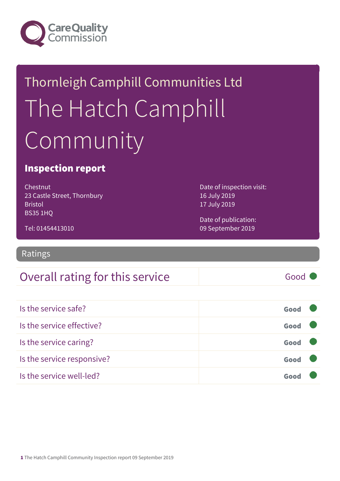

# Thornleigh Camphill Communities Ltd The Hatch Camphill Community

### Inspection report

Chestnut 23 Castle Street, Thornbury Bristol BS35 1HQ

Date of inspection visit: 16 July 2019 17 July 2019

Date of publication: 09 September 2019

Tel: 01454413010

Ratings

### Overall rating for this service and a service of Good

Is the service safe? Good Is the service effective? Contact the service effective? Is the service caring? Good Is the service responsive? Good Is the service well-led? Good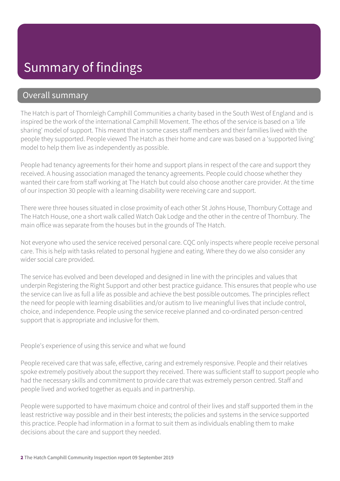### Overall summary

The Hatch is part of Thornleigh Camphill Communities a charity based in the South West of England and is inspired be the work of the international Camphill Movement. The ethos of the service is based on a 'life sharing' model of support. This meant that in some cases staff members and their families lived with the people they supported. People viewed The Hatch as their home and care was based on a 'supported living' model to help them live as independently as possible.

People had tenancy agreements for their home and support plans in respect of the care and support they received. A housing association managed the tenancy agreements. People could choose whether they wanted their care from staff working at The Hatch but could also choose another care provider. At the time of our inspection 30 people with a learning disability were receiving care and support.

There were three houses situated in close proximity of each other St Johns House, Thornbury Cottage and The Hatch House, one a short walk called Watch Oak Lodge and the other in the centre of Thornbury. The main office was separate from the houses but in the grounds of The Hatch.

Not everyone who used the service received personal care. CQC only inspects where people receive personal care. This is help with tasks related to personal hygiene and eating. Where they do we also consider any wider social care provided.

The service has evolved and been developed and designed in line with the principles and values that underpin Registering the Right Support and other best practice guidance. This ensures that people who use the service can live as full a life as possible and achieve the best possible outcomes. The principles reflect the need for people with learning disabilities and/or autism to live meaningful lives that include control, choice, and independence. People using the service receive planned and co-ordinated person-centred support that is appropriate and inclusive for them.

People's experience of using this service and what we found

People received care that was safe, effective, caring and extremely responsive. People and their relatives spoke extremely positively about the support they received. There was sufficient staff to support people who had the necessary skills and commitment to provide care that was extremely person centred. Staff and people lived and worked together as equals and in partnership.

People were supported to have maximum choice and control of their lives and staff supported them in the least restrictive way possible and in their best interests; the policies and systems in the service supported this practice. People had information in a format to suit them as individuals enabling them to make decisions about the care and support they needed.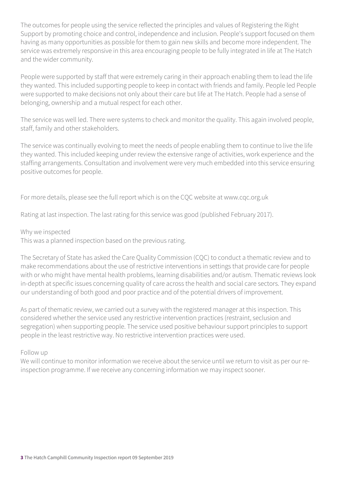The outcomes for people using the service reflected the principles and values of Registering the Right Support by promoting choice and control, independence and inclusion. People's support focused on them having as many opportunities as possible for them to gain new skills and become more independent. The service was extremely responsive in this area encouraging people to be fully integrated in life at The Hatch and the wider community.

People were supported by staff that were extremely caring in their approach enabling them to lead the life they wanted. This included supporting people to keep in contact with friends and family. People led People were supported to make decisions not only about their care but life at The Hatch. People had a sense of belonging, ownership and a mutual respect for each other.

The service was well led. There were systems to check and monitor the quality. This again involved people, staff, family and other stakeholders.

The service was continually evolving to meet the needs of people enabling them to continue to live the life they wanted. This included keeping under review the extensive range of activities, work experience and the staffing arrangements. Consultation and involvement were very much embedded into this service ensuring positive outcomes for people.

For more details, please see the full report which is on the CQC website at www.cqc.org.uk

Rating at last inspection. The last rating for this service was good (published February 2017).

Why we inspected

This was a planned inspection based on the previous rating.

The Secretary of State has asked the Care Quality Commission (CQC) to conduct a thematic review and to make recommendations about the use of restrictive interventions in settings that provide care for people with or who might have mental health problems, learning disabilities and/or autism. Thematic reviews look in-depth at specific issues concerning quality of care across the health and social care sectors. They expand our understanding of both good and poor practice and of the potential drivers of improvement.

As part of thematic review, we carried out a survey with the registered manager at this inspection. This considered whether the service used any restrictive intervention practices (restraint, seclusion and segregation) when supporting people. The service used positive behaviour support principles to support people in the least restrictive way. No restrictive intervention practices were used.

Follow up

We will continue to monitor information we receive about the service until we return to visit as per our reinspection programme. If we receive any concerning information we may inspect sooner.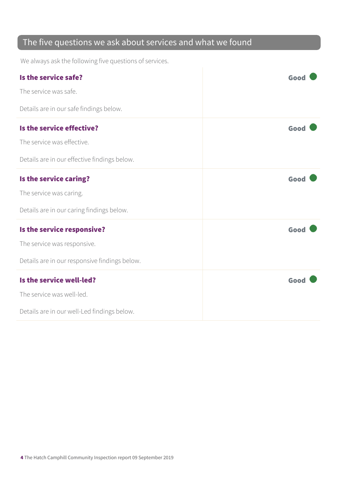### The five questions we ask about services and what we found

We always ask the following five questions of services.

| Is the service safe?                          | Good |
|-----------------------------------------------|------|
| The service was safe.                         |      |
| Details are in our safe findings below.       |      |
| Is the service effective?                     | Good |
| The service was effective.                    |      |
| Details are in our effective findings below.  |      |
| Is the service caring?                        | Good |
| The service was caring.                       |      |
| Details are in our caring findings below.     |      |
| Is the service responsive?                    | Good |
| The service was responsive.                   |      |
| Details are in our responsive findings below. |      |
| Is the service well-led?                      | Good |
| The service was well-led.                     |      |
| Details are in our well-Led findings below.   |      |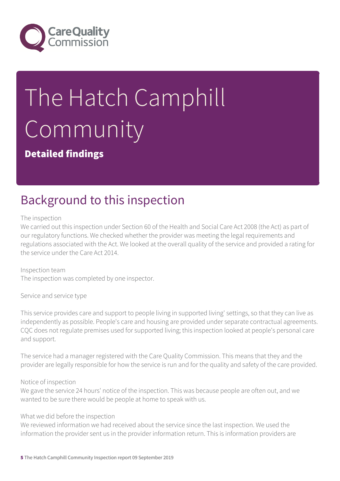

# The Hatch Camphill **Community**

Detailed findings

# Background to this inspection

The inspection

We carried out this inspection under Section 60 of the Health and Social Care Act 2008 (the Act) as part of our regulatory functions. We checked whether the provider was meeting the legal requirements and regulations associated with the Act. We looked at the overall quality of the service and provided a rating for the service under the Care Act 2014.

Inspection team The inspection was completed by one inspector.

Service and service type

This service provides care and support to people living in supported living' settings, so that they can live as independently as possible. People's care and housing are provided under separate contractual agreements. CQC does not regulate premises used for supported living; this inspection looked at people's personal care and support.

The service had a manager registered with the Care Quality Commission. This means that they and the provider are legally responsible for how the service is run and for the quality and safety of the care provided.

#### Notice of inspection

We gave the service 24 hours' notice of the inspection. This was because people are often out, and we wanted to be sure there would be people at home to speak with us.

#### What we did before the inspection

We reviewed information we had received about the service since the last inspection. We used the information the provider sent us in the provider information return. This is information providers are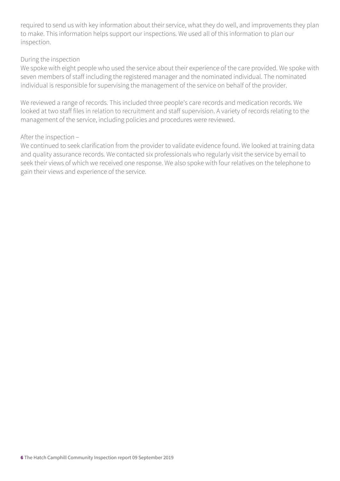required to send us with key information about their service, what they do well, and improvements they plan to make. This information helps support our inspections. We used all of this information to plan our inspection.

#### During the inspection

We spoke with eight people who used the service about their experience of the care provided. We spoke with seven members of staff including the registered manager and the nominated individual. The nominated individual is responsible for supervising the management of the service on behalf of the provider.

We reviewed a range of records. This included three people's care records and medication records. We looked at two staff files in relation to recruitment and staff supervision. A variety of records relating to the management of the service, including policies and procedures were reviewed.

#### After the inspection –

We continued to seek clarification from the provider to validate evidence found. We looked at training data and quality assurance records. We contacted six professionals who regularly visit the service by email to seek their views of which we received one response. We also spoke with four relatives on the telephone to gain their views and experience of the service.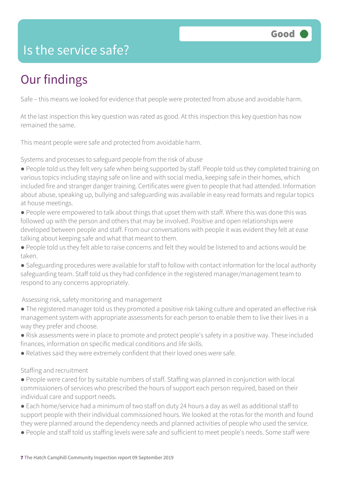### Is the service safe?

# Our findings

Safe – this means we looked for evidence that people were protected from abuse and avoidable harm.

At the last inspection this key question was rated as good. At this inspection this key question has now remained the same.

This meant people were safe and protected from avoidable harm.

Systems and processes to safeguard people from the risk of abuse

- People told us they felt very safe when being supported by staff. People told us they completed training on various topics including staying safe on line and with social media, keeping safe in their homes, which included fire and stranger danger training. Certificates were given to people that had attended. Information about abuse, speaking up, bullying and safeguarding was available in easy read formats and regular topics at house meetings.
- People were empowered to talk about things that upset them with staff. Where this was done this was followed up with the person and others that may be involved. Positive and open relationships were developed between people and staff. From our conversations with people it was evident they felt at ease talking about keeping safe and what that meant to them.
- People told us they felt able to raise concerns and felt they would be listened to and actions would be taken.
- Safeguarding procedures were available for staff to follow with contact information for the local authority safeguarding team. Staff told us they had confidence in the registered manager/management team to respond to any concerns appropriately.

Assessing risk, safety monitoring and management

- The registered manager told us they promoted a positive risk taking culture and operated an effective risk management system with appropriate assessments for each person to enable them to live their lives in a way they prefer and choose.
- Risk assessments were in place to promote and protect people's safety in a positive way. These included finances, information on specific medical conditions and life skills.
- Relatives said they were extremely confident that their loved ones were safe.

#### Staffing and recruitment

- People were cared for by suitable numbers of staff. Staffing was planned in conjunction with local commissioners of services who prescribed the hours of support each person required, based on their individual care and support needs.
- Each home/service had a minimum of two staff on duty 24 hours a day as well as additional staff to support people with their individual commissioned hours. We looked at the rotas for the month and found they were planned around the dependency needs and planned activities of people who used the service.
- People and staff told us staffing levels were safe and sufficient to meet people's needs. Some staff were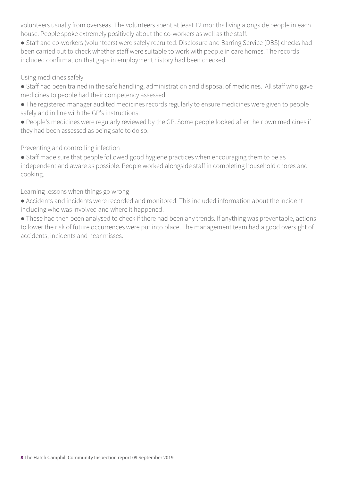volunteers usually from overseas. The volunteers spent at least 12 months living alongside people in each house. People spoke extremely positively about the co-workers as well as the staff.

● Staff and co-workers (volunteers) were safely recruited. Disclosure and Barring Service (DBS) checks had been carried out to check whether staff were suitable to work with people in care homes. The records included confirmation that gaps in employment history had been checked.

#### Using medicines safely

- Staff had been trained in the safe handling, administration and disposal of medicines. All staff who gave medicines to people had their competency assessed.
- The registered manager audited medicines records regularly to ensure medicines were given to people safely and in line with the GP's instructions.
- People's medicines were regularly reviewed by the GP. Some people looked after their own medicines if they had been assessed as being safe to do so.

#### Preventing and controlling infection

● Staff made sure that people followed good hygiene practices when encouraging them to be as independent and aware as possible. People worked alongside staff in completing household chores and cooking.

#### Learning lessons when things go wrong

● Accidents and incidents were recorded and monitored. This included information about the incident including who was involved and where it happened.

● These had then been analysed to check if there had been any trends. If anything was preventable, actions to lower the risk of future occurrences were put into place. The management team had a good oversight of accidents, incidents and near misses.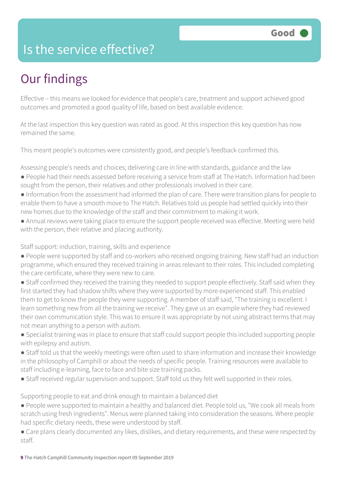### Is the service effective?

# Our findings

Effective – this means we looked for evidence that people's care, treatment and support achieved good outcomes and promoted a good quality of life, based on best available evidence.

At the last inspection this key question was rated as good. At this inspection this key question has now remained the same.

This meant people's outcomes were consistently good, and people's feedback confirmed this.

Assessing people's needs and choices; delivering care in line with standards, guidance and the law

- People had their needs assessed before receiving a service from staff at The Hatch. Information had been sought from the person, their relatives and other professionals involved in their care.
- Information from the assessment had informed the plan of care. There were transition plans for people to enable them to have a smooth move to The Hatch. Relatives told us people had settled quickly into their new homes due to the knowledge of the staff and their commitment to making it work.
- Annual reviews were taking place to ensure the support people received was effective. Meeting were held with the person, their relative and placing authority.

Staff support: induction, training, skills and experience

- People were supported by staff and co-workers who received ongoing training. New staff had an induction programme, which ensured they received training in areas relevant to their roles. This included completing the care certificate, where they were new to care.
- Staff confirmed they received the training they needed to support people effectively. Staff said when they first started they had shadow shifts where they were supported by more experienced staff. This enabled them to get to know the people they were supporting. A member of staff said, "The training is excellent. I learn something new from all the training we receive". They gave us an example where they had reviewed their own communication style. This was to ensure it was appropriate by not using abstract terms that may not mean anything to a person with autism.
- Specialist training was in place to ensure that staff could support people this included supporting people with epilepsy and autism.
- Staff told us that the weekly meetings were often used to share information and increase their knowledge in the philosophy of Camphill or about the needs of specific people. Training resources were available to staff including e-learning, face to face and bite size training packs.
- Staff received regular supervision and support. Staff told us they felt well supported in their roles.

Supporting people to eat and drink enough to maintain a balanced diet

- People were supported to maintain a healthy and balanced diet. People told us, "We cook all meals from scratch using fresh ingredients". Menus were planned taking into consideration the seasons. Where people had specific dietary needs, these were understood by staff.
- Care plans clearly documented any likes, dislikes, and dietary requirements, and these were respected by staff.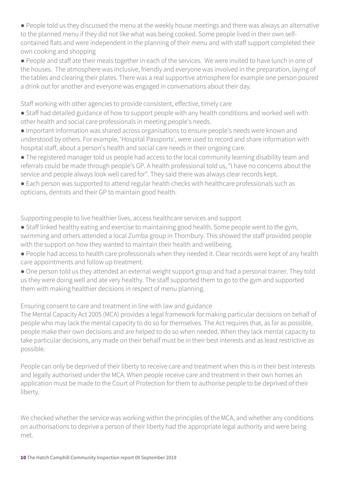● People told us they discussed the menu at the weekly house meetings and there was always an alternative to the planned menu if they did not like what was being cooked. Some people lived in their own selfcontained flats and were independent in the planning of their menu and with staff support completed their own cooking and shopping

● People and staff ate their meals together in each of the services. We were invited to have lunch in one of the houses. The atmosphere was inclusive, friendly and everyone was involved in the preparation, laying of the tables and clearing their plates. There was a real supportive atmosphere for example one person poured a drink out for another and everyone was engaged in conversations about their day.

Staff working with other agencies to provide consistent, effective, timely care

- Staff had detailed guidance of how to support people with any health conditions and worked well with other health and social care professionals in meeting people's needs.
- Important information was shared across organisations to ensure people's needs were known and understood by others. For example, 'Hospital Passports', were used to record and share information with hospital staff, about a person's health and social care needs in their ongoing care.
- The registered manager told us people had access to the local community learning disability team and referrals could be made through people's GP. A health professional told us, "I have no concerns about the service and people always look well cared for". They said there was always clear records kept.
- Each person was supported to attend regular health checks with healthcare professionals such as opticians, dentists and their GP to maintain good health.

Supporting people to live healthier lives, access healthcare services and support

- Staff linked healthy eating and exercise to maintaining good health. Some people went to the gym, swimming and others attended a local Zumba group in Thornbury. This showed the staff provided people with the support on how they wanted to maintain their health and wellbeing.
- People had access to health care professionals when they needed it. Clear records were kept of any health care appointments and follow up treatment.
- One person told us they attended an external weight support group and had a personal trainer. They told us they were doing well and ate very healthy. The staff supported them to go to the gym and supported them with making healthier decisions in respect of menu planning.

Ensuring consent to care and treatment in line with law and guidance

The Mental Capacity Act 2005 (MCA) provides a legal framework for making particular decisions on behalf of people who may lack the mental capacity to do so for themselves. The Act requires that, as far as possible, people make their own decisions and are helped to do so when needed. When they lack mental capacity to take particular decisions, any made on their behalf must be in their best interests and as least restrictive as possible.

People can only be deprived of their liberty to receive care and treatment when this is in their best interests and legally authorised under the MCA. When people receive care and treatment in their own homes an application must be made to the Court of Protection for them to authorise people to be deprived of their liberty.

We checked whether the service was working within the principles of the MCA, and whether any conditions on authorisations to deprive a person of their liberty had the appropriate legal authority and were being met.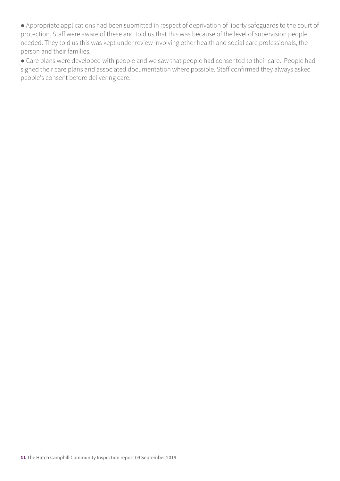● Appropriate applications had been submitted in respect of deprivation of liberty safeguards to the court of protection. Staff were aware of these and told us that this was because of the level of supervision people needed. They told us this was kept under review involving other health and social care professionals, the person and their families.

● Care plans were developed with people and we saw that people had consented to their care. People had signed their care plans and associated documentation where possible. Staff confirmed they always asked people's consent before delivering care.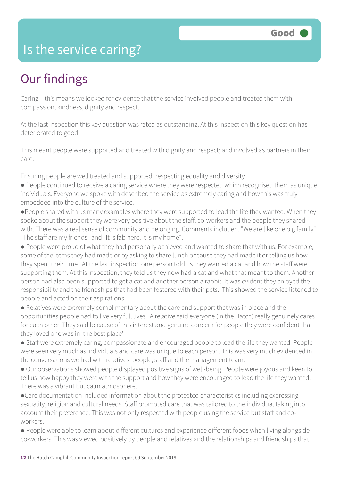### Is the service caring?

### Our findings

Caring – this means we looked for evidence that the service involved people and treated them with compassion, kindness, dignity and respect.

At the last inspection this key question was rated as outstanding. At this inspection this key question has deteriorated to good.

This meant people were supported and treated with dignity and respect; and involved as partners in their care.

Ensuring people are well treated and supported; respecting equality and diversity

- People continued to receive a caring service where they were respected which recognised them as unique individuals. Everyone we spoke with described the service as extremely caring and how this was truly embedded into the culture of the service.
- ●People shared with us many examples where they were supported to lead the life they wanted. When they spoke about the support they were very positive about the staff, co-workers and the people they shared with. There was a real sense of community and belonging. Comments included, "We are like one big family", "The staff are my friends" and "It is fab here, it is my home".
- People were proud of what they had personally achieved and wanted to share that with us. For example, some of the items they had made or by asking to share lunch because they had made it or telling us how they spent their time. At the last inspection one person told us they wanted a cat and how the staff were supporting them. At this inspection, they told us they now had a cat and what that meant to them. Another person had also been supported to get a cat and another person a rabbit. It was evident they enjoyed the responsibility and the friendships that had been fostered with their pets. This showed the service listened to people and acted on their aspirations.
- Relatives were extremely complimentary about the care and support that was in place and the opportunities people had to live very full lives. A relative said everyone (in the Hatch) really genuinely cares for each other. They said because of this interest and genuine concern for people they were confident that they loved one was in 'the best place'.
- Staff were extremely caring, compassionate and encouraged people to lead the life they wanted. People were seen very much as individuals and care was unique to each person. This was very much evidenced in the conversations we had with relatives, people, staff and the management team.
- Our observations showed people displayed positive signs of well-being. People were joyous and keen to tell us how happy they were with the support and how they were encouraged to lead the life they wanted. There was a vibrant but calm atmosphere.
- ●Care documentation included information about the protected characteristics including expressing sexuality, religion and cultural needs. Staff promoted care that was tailored to the individual taking into account their preference. This was not only respected with people using the service but staff and coworkers.
- People were able to learn about different cultures and experience different foods when living alongside co-workers. This was viewed positively by people and relatives and the relationships and friendships that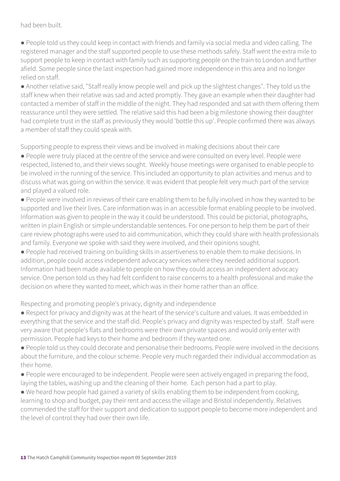#### had been built.

● People told us they could keep in contact with friends and family via social media and video calling. The registered manager and the staff supported people to use these methods safely. Staff went the extra mile to support people to keep in contact with family such as supporting people on the train to London and further afield. Some people since the last inspection had gained more independence in this area and no longer relied on staff.

● Another relative said, "Staff really know people well and pick up the slightest changes". They told us the staff knew when their relative was sad and acted promptly. They gave an example when their daughter had contacted a member of staff in the middle of the night. They had responded and sat with them offering them reassurance until they were settled. The relative said this had been a big milestone showing their daughter had complete trust in the staff as previously they would 'bottle this up'. People confirmed there was always a member of staff they could speak with.

Supporting people to express their views and be involved in making decisions about their care

● People were truly placed at the centre of the service and were consulted on every level. People were respected, listened to, and their views sought. Weekly house meetings were organised to enable people to be involved in the running of the service. This included an opportunity to plan activities and menus and to discuss what was going on within the service. It was evident that people felt very much part of the service and played a valued role.

● People were involved in reviews of their care enabling them to be fully involved in how they wanted to be supported and live their lives. Care information was in an accessible format enabling people to be involved. Information was given to people in the way it could be understood. This could be pictorial, photographs, written in plain English or simple understandable sentences. For one person to help them be part of their care review photographs were used to aid communication, which they could share with health professionals and family. Everyone we spoke with said they were involved, and their opinions sought.

● People had received training on building skills in assertiveness to enable them to make decisions. In addition, people could access independent advocacy services where they needed additional support. Information had been made available to people on how they could access an independent advocacy service. One person told us they had felt confident to raise concerns to a health professional and make the decision on where they wanted to meet, which was in their home rather than an office.

Respecting and promoting people's privacy, dignity and independence

● Respect for privacy and dignity was at the heart of the service's culture and values. It was embedded in everything that the service and the staff did. People's privacy and dignity was respected by staff. Staff were very aware that people's flats and bedrooms were their own private spaces and would only enter with permission. People had keys to their home and bedroom if they wanted one.

● People told us they could decorate and personalise their bedrooms. People were involved in the decisions about the furniture, and the colour scheme. People very much regarded their individual accommodation as their home.

● People were encouraged to be independent. People were seen actively engaged in preparing the food, laying the tables, washing up and the cleaning of their home. Each person had a part to play.

● We heard how people had gained a variety of skills enabling them to be independent from cooking, learning to shop and budget, pay their rent and access the village and Bristol independently. Relatives commended the staff for their support and dedication to support people to become more independent and the level of control they had over their own life.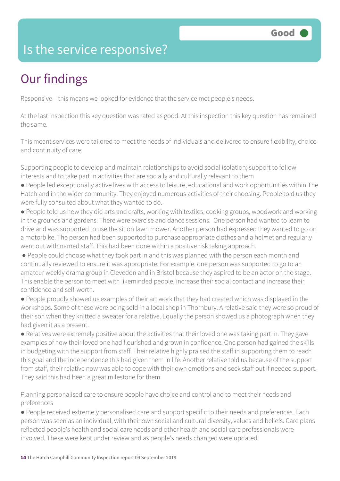### Is the service responsive?

# Our findings

Responsive – this means we looked for evidence that the service met people's needs.

At the last inspection this key question was rated as good. At this inspection this key question has remained the same.

This meant services were tailored to meet the needs of individuals and delivered to ensure flexibility, choice and continuity of care.

Supporting people to develop and maintain relationships to avoid social isolation; support to follow interests and to take part in activities that are socially and culturally relevant to them

- People led exceptionally active lives with access to leisure, educational and work opportunities within The Hatch and in the wider community. They enjoyed numerous activities of their choosing. People told us they were fully consulted about what they wanted to do.
- People told us how they did arts and crafts, working with textiles, cooking groups, woodwork and working in the grounds and gardens. There were exercise and dance sessions. One person had wanted to learn to drive and was supported to use the sit on lawn mower. Another person had expressed they wanted to go on a motorbike. The person had been supported to purchase appropriate clothes and a helmet and regularly went out with named staff. This had been done within a positive risk taking approach.
- People could choose what they took part in and this was planned with the person each month and continually reviewed to ensure it was appropriate. For example, one person was supported to go to an amateur weekly drama group in Clevedon and in Bristol because they aspired to be an actor on the stage. This enable the person to meet with likeminded people, increase their social contact and increase their confidence and self-worth.
- People proudly showed us examples of their art work that they had created which was displayed in the workshops. Some of these were being sold in a local shop in Thornbury. A relative said they were so proud of their son when they knitted a sweater for a relative. Equally the person showed us a photograph when they had given it as a present.
- Relatives were extremely positive about the activities that their loved one was taking part in. They gave examples of how their loved one had flourished and grown in confidence. One person had gained the skills in budgeting with the support from staff. Their relative highly praised the staff in supporting them to reach this goal and the independence this had given them in life. Another relative told us because of the support from staff, their relative now was able to cope with their own emotions and seek staff out if needed support. They said this had been a great milestone for them.

Planning personalised care to ensure people have choice and control and to meet their needs and preferences

● People received extremely personalised care and support specific to their needs and preferences. Each person was seen as an individual, with their own social and cultural diversity, values and beliefs. Care plans reflected people's health and social care needs and other health and social care professionals were involved. These were kept under review and as people's needs changed were updated.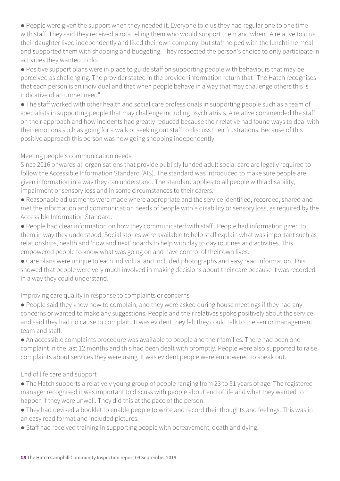● People were given the support when they needed it. Everyone told us they had regular one to one time with staff. They said they received a rota telling them who would support them and when. A relative told us their daughter lived independently and liked their own company, but staff helped with the lunchtime meal and supported them with shopping and budgeting. They respected the person's choice to only participate in activities they wanted to do.

● Positive support plans were in place to guide staff on supporting people with behaviours that may be perceived as challenging. The provider stated in the provider information return that "The Hatch recognises that each person is an individual and that when people behave in a way that may challenge others this is indicative of an unmet need".

● The staff worked with other health and social care professionals in supporting people such as a team of specialists in supporting people that may challenge including psychiatrists. A relative commended the staff on their approach and how incidents had greatly reduced because their relative had found ways to deal with their emotions such as going for a walk or seeking out staff to discuss their frustrations. Because of this positive approach this person was now going shopping independently.

#### Meeting people's communication needs

Since 2016 onwards all organisations that provide publicly funded adult social care are legally required to follow the Accessible Information Standard (AIS). The standard was introduced to make sure people are given information in a way they can understand. The standard applies to all people with a disability, impairment or sensory loss and in some circumstances to their carers.

● Reasonable adjustments were made where appropriate and the service identified, recorded, shared and met the information and communication needs of people with a disability or sensory loss, as required by the Accessible Information Standard.

● People had clear information on how they communicated with staff. People had information given to them in way they understood. Social stories were available to help staff explain what was important such as relationships, health and 'now and next' boards to help with day to day routines and activities. This empowered people to know what was going on and have control of their own lives.

● Care plans were unique to each individual and included photographs and easy read information. This showed that people were very much involved in making decisions about their care because it was recorded in a way they could understand.

#### Improving care quality in response to complaints or concerns

● People said they knew how to complain, and they were asked during house meetings if they had any concerns or wanted to make any suggestions. People and their relatives spoke positively about the service and said they had no cause to complain. It was evident they felt they could talk to the senior management team and staff.

● An accessible complaints procedure was available to people and their families. There had been one complaint in the last 12 months and this had been dealt with promptly. People were also supported to raise complaints about services they were using. It was evident people were empowered to speak out.

#### End of life care and support

● The Hatch supports a relatively young group of people ranging from 23 to 51 years of age. The registered manager recognised it was important to discuss with people about end of life and what they wanted to happen if they were unwell. They did this at the pace of the person.

● They had devised a booklet to enable people to write and record their thoughts and feelings. This was in an easy read format and included pictures.

• Staff had received training in supporting people with bereavement, death and dying.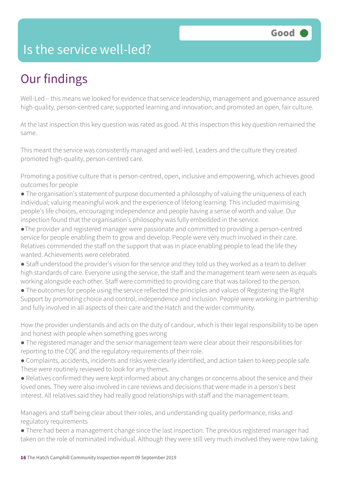### Is the service well-led?

# Our findings

Well-Led – this means we looked for evidence that service leadership, management and governance assured high-quality, person-centred care; supported learning and innovation; and promoted an open, fair culture.

At the last inspection this key question was rated as good. At this inspection this key question remained the same.

This meant the service was consistently managed and well-led. Leaders and the culture they created promoted high-quality, person-centred care.

Promoting a positive culture that is person-centred, open, inclusive and empowering, which achieves good outcomes for people

- The organisation's statement of purpose documented a philosophy of valuing the uniqueness of each individual; valuing meaningful work and the experience of lifelong learning. This included maximising people's life choices, encouraging independence and people having a sense of worth and value. Our inspection found that the organisation's philosophy was fully embedded in the service.
- ●The provider and registered manager were passionate and committed to providing a person-centred service for people enabling them to grow and develop. People were very much involved in their care. Relatives commended the staff on the support that was in place enabling people to lead the life they wanted. Achievements were celebrated.
- Staff understood the provider's vision for the service and they told us they worked as a team to deliver high standards of care. Everyone using the service, the staff and the management team were seen as equals working alongside each other. Staff were committed to providing care that was tailored to the person.
- The outcomes for people using the service reflected the principles and values of Registering the Right Support by promoting choice and control, independence and inclusion. People were working in partnership and fully involved in all aspects of their care and the Hatch and the wider community.

How the provider understands and acts on the duty of candour, which is their legal responsibility to be open and honest with people when something goes wrong

- The registered manager and the senior management team were clear about their responsibilities for reporting to the CQC and the regulatory requirements of their role.
- Complaints, accidents, incidents and risks were clearly identified, and action taken to keep people safe. These were routinely reviewed to look for any themes.

● Relatives confirmed they were kept informed about any changes or concerns about the service and their loved ones. They were also involved in care reviews and decisions that were made in a person's best interest. All relatives said they had really good relationships with staff and the management team.

Managers and staff being clear about their roles, and understanding quality performance, risks and regulatory requirements

● There had been a management change since the last inspection. The previous registered manager had taken on the role of nominated individual. Although they were still very much involved they were now taking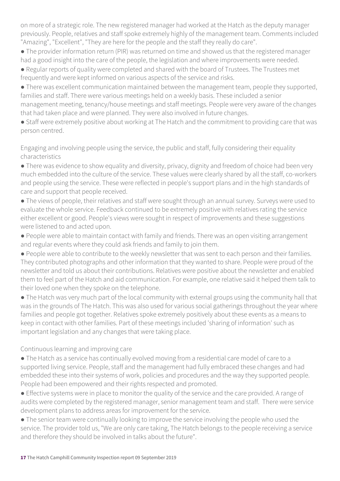on more of a strategic role. The new registered manager had worked at the Hatch as the deputy manager previously. People, relatives and staff spoke extremely highly of the management team. Comments included "Amazing", "Excellent", "They are here for the people and the staff they really do care".

• The provider information return (PIR) was returned on time and showed us that the registered manager had a good insight into the care of the people, the legislation and where improvements were needed.

● Regular reports of quality were completed and shared with the board of Trustees. The Trustees met frequently and were kept informed on various aspects of the service and risks.

● There was excellent communication maintained between the management team, people they supported, families and staff. There were various meetings held on a weekly basis. These included a senior management meeting, tenancy/house meetings and staff meetings. People were very aware of the changes

that had taken place and were planned. They were also involved in future changes.

● Staff were extremely positive about working at The Hatch and the commitment to providing care that was person centred.

Engaging and involving people using the service, the public and staff, fully considering their equality characteristics

• There was evidence to show equality and diversity, privacy, dignity and freedom of choice had been very much embedded into the culture of the service. These values were clearly shared by all the staff, co-workers and people using the service. These were reflected in people's support plans and in the high standards of care and support that people received.

● The views of people, their relatives and staff were sought through an annual survey. Surveys were used to evaluate the whole service. Feedback continued to be extremely positive with relatives rating the service either excellent or good. People's views were sought in respect of improvements and these suggestions were listened to and acted upon.

● People were able to maintain contact with family and friends. There was an open visiting arrangement and regular events where they could ask friends and family to join them.

● People were able to contribute to the weekly newsletter that was sent to each person and their families. They contributed photographs and other information that they wanted to share. People were proud of the newsletter and told us about their contributions. Relatives were positive about the newsletter and enabled them to feel part of the Hatch and aid communication. For example, one relative said it helped them talk to their loved one when they spoke on the telephone.

● The Hatch was very much part of the local community with external groups using the community hall that was in the grounds of The Hatch. This was also used for various social gatherings throughout the year where families and people got together. Relatives spoke extremely positively about these events as a means to keep in contact with other families. Part of these meetings included 'sharing of information' such as important legislation and any changes that were taking place.

#### Continuous learning and improving care

● The Hatch as a service has continually evolved moving from a residential care model of care to a supported living service. People, staff and the management had fully embraced these changes and had embedded these into their systems of work, policies and procedures and the way they supported people. People had been empowered and their rights respected and promoted.

● Effective systems were in place to monitor the quality of the service and the care provided. A range of audits were completed by the registered manager, senior management team and staff. There were service development plans to address areas for improvement for the service.

● The senior team were continually looking to improve the service involving the people who used the service. The provider told us, "We are only care taking, The Hatch belongs to the people receiving a service and therefore they should be involved in talks about the future".